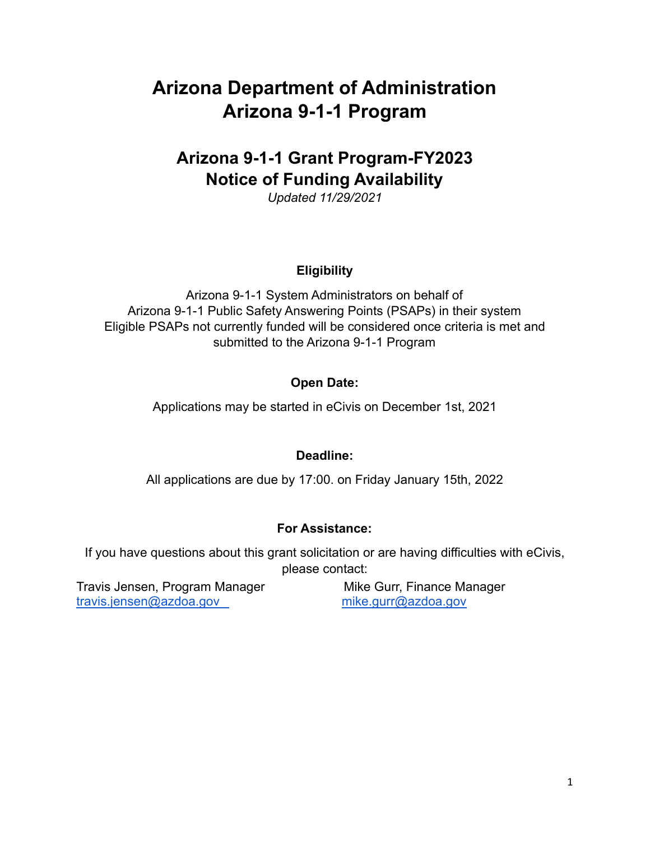# **Arizona Department of Administration Arizona 9-1-1 Program**

# **Arizona 9-1-1 Grant Program-FY2023 Notice of Funding Availability**

*Updated 11/29/2021*

## **Eligibility**

Arizona 9-1-1 System Administrators on behalf of Arizona 9-1-1 Public Safety Answering Points (PSAPs) in their system Eligible PSAPs not currently funded will be considered once criteria is met and submitted to the Arizona 9-1-1 Program

## **Open Date:**

Applications may be started in eCivis on December 1st, 2021

## **Deadline:**

All applications are due by 17:00. on Friday January 15th, 2022

## **For Assistance:**

If you have questions about this grant solicitation or are having difficulties with eCivis, please contact:

Travis Jensen, Program Manager Mike Gurr, Finance Manager [travis.jensen@azdoa.gov](mailto:travis.jensen@azdoa.gov) [mike.gurr](http://mike.gurr@azdoa.gov)[@azdoa.gov](mailto:greg.denton@azdoa.gov)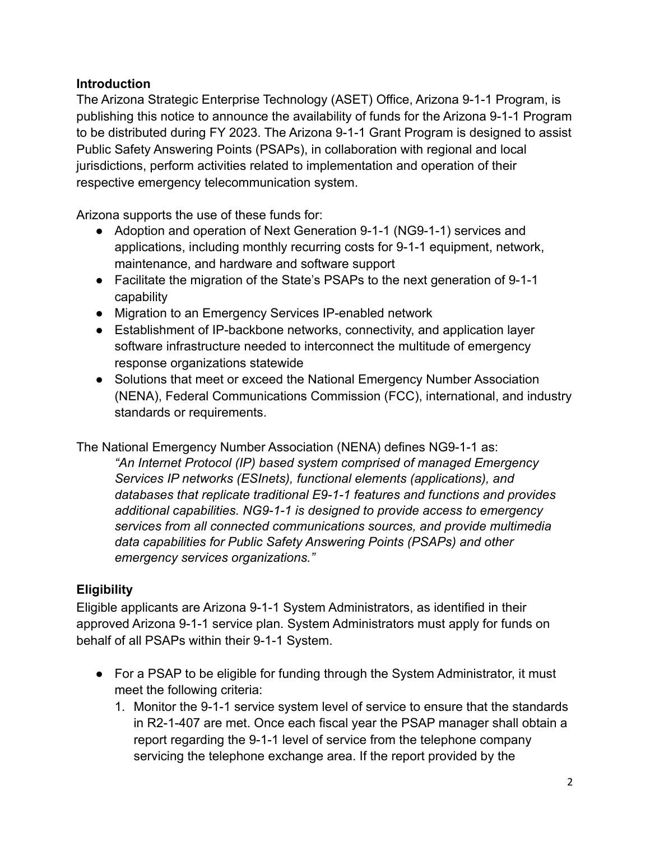## **Introduction**

The Arizona Strategic Enterprise Technology (ASET) Office, Arizona 9-1-1 Program, is publishing this notice to announce the availability of funds for the Arizona 9-1-1 Program to be distributed during FY 2023. The Arizona 9-1-1 Grant Program is designed to assist Public Safety Answering Points (PSAPs), in collaboration with regional and local jurisdictions, perform activities related to implementation and operation of their respective emergency telecommunication system.

Arizona supports the use of these funds for:

- Adoption and operation of Next Generation 9-1-1 (NG9-1-1) services and applications, including monthly recurring costs for 9-1-1 equipment, network, maintenance, and hardware and software support
- Facilitate the migration of the State's PSAPs to the next generation of 9-1-1 capability
- Migration to an Emergency Services IP-enabled network
- Establishment of IP-backbone networks, connectivity, and application layer software infrastructure needed to interconnect the multitude of emergency response organizations statewide
- Solutions that meet or exceed the National Emergency Number Association (NENA), Federal Communications Commission (FCC), international, and industry standards or requirements.

The National Emergency Number Association (NENA) defines NG9-1-1 as:

*"An Internet Protocol (IP) based system comprised of managed Emergency Services IP networks (ESInets), functional elements (applications), and databases that replicate traditional E9-1-1 features and functions and provides additional capabilities. NG9-1-1 is designed to provide access to emergency services from all connected communications sources, and provide multimedia data capabilities for Public Safety Answering Points (PSAPs) and other emergency services organizations."*

## **Eligibility**

Eligible applicants are Arizona 9-1-1 System Administrators, as identified in their approved Arizona 9-1-1 service plan. System Administrators must apply for funds on behalf of all PSAPs within their 9-1-1 System.

- **●** For a PSAP to be eligible for funding through the System Administrator, it must meet the following criteria:
	- 1. Monitor the 9-1-1 service system level of service to ensure that the standards in R2-1-407 are met. Once each fiscal year the PSAP manager shall obtain a report regarding the 9-1-1 level of service from the telephone company servicing the telephone exchange area. If the report provided by the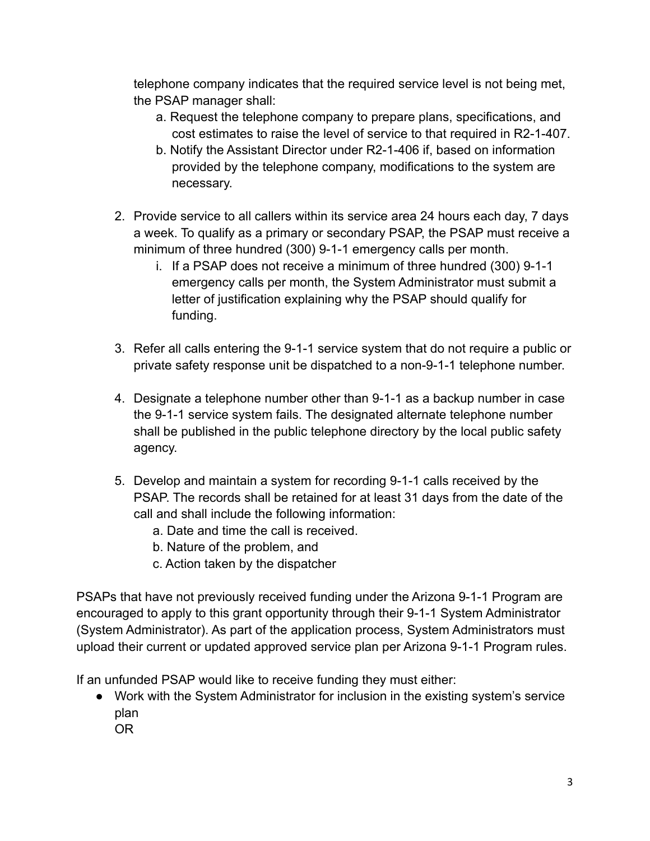telephone company indicates that the required service level is not being met, the PSAP manager shall:

- a. Request the telephone company to prepare plans, specifications, and cost estimates to raise the level of service to that required in R2-1-407.
- b. Notify the Assistant Director under R2-1-406 if, based on information provided by the telephone company, modifications to the system are necessary.
- 2. Provide service to all callers within its service area 24 hours each day, 7 days a week. To qualify as a primary or secondary PSAP, the PSAP must receive a minimum of three hundred (300) 9-1-1 emergency calls per month.
	- i. If a PSAP does not receive a minimum of three hundred (300) 9-1-1 emergency calls per month, the System Administrator must submit a letter of justification explaining why the PSAP should qualify for funding.
- 3. Refer all calls entering the 9-1-1 service system that do not require a public or private safety response unit be dispatched to a non-9-1-1 telephone number.
- 4. Designate a telephone number other than 9-1-1 as a backup number in case the 9-1-1 service system fails. The designated alternate telephone number shall be published in the public telephone directory by the local public safety agency.
- 5. Develop and maintain a system for recording 9-1-1 calls received by the PSAP. The records shall be retained for at least 31 days from the date of the call and shall include the following information:
	- a. Date and time the call is received.
	- b. Nature of the problem, and
	- c. Action taken by the dispatcher

PSAPs that have not previously received funding under the Arizona 9-1-1 Program are encouraged to apply to this grant opportunity through their 9-1-1 System Administrator (System Administrator). As part of the application process, System Administrators must upload their current or updated approved service plan per Arizona 9-1-1 Program rules.

If an unfunded PSAP would like to receive funding they must either:

- Work with the System Administrator for inclusion in the existing system's service plan
	- OR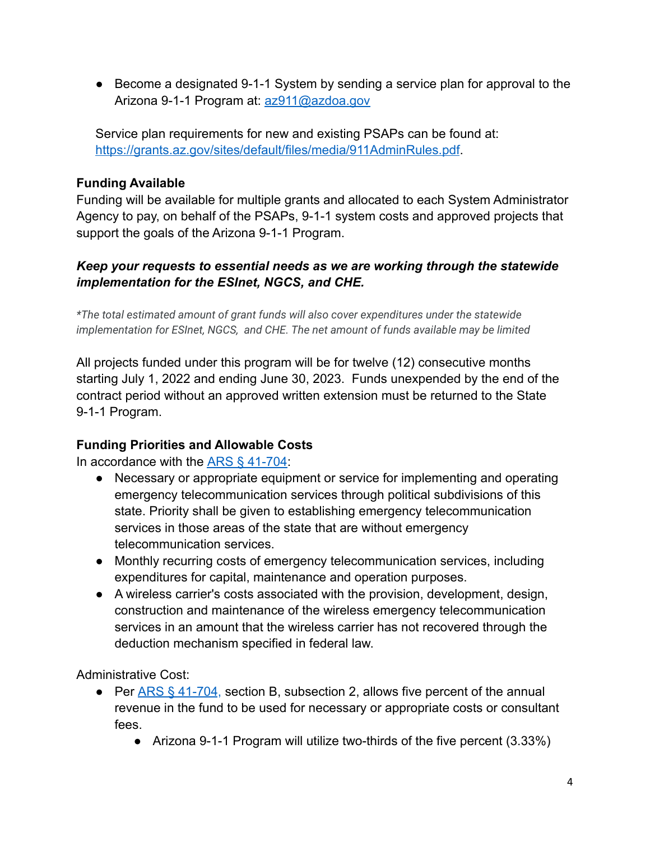● Become a designated 9-1-1 System by sending a service plan for approval to the Arizona 9-1-1 Program at: [az911@azdoa.gov](mailto:az911@azdoa.gov)

Service plan requirements for new and existing PSAPs can be found at: <https://grants.az.gov/sites/default/files/media/911AdminRules.pdf>.

## **Funding Available**

Funding will be available for multiple grants and allocated to each System Administrator Agency to pay, on behalf of the PSAPs, 9-1-1 system costs and approved projects that support the goals of the Arizona 9-1-1 Program.

## *Keep your requests to essential needs as we are working through the statewide implementation for the ESInet, NGCS, and CHE.*

*\*The total estimated amount of grant funds will also cover expenditures under the statewide implementation for ESInet, NGCS, and CHE. The net amount of funds available may be limited*

All projects funded under this program will be for twelve (12) consecutive months starting July 1, 2022 and ending June 30, 2023. Funds unexpended by the end of the contract period without an approved written extension must be returned to the State 9-1-1 Program.

## **Funding Priorities and Allowable Costs**

In accordance with the [ARS § 41-704:](https://www.azleg.gov/viewdocument/?docName=https://www.azleg.gov/ars/41/00704.htm)

- Necessary or appropriate equipment or service for implementing and operating emergency telecommunication services through political subdivisions of this state. Priority shall be given to establishing emergency telecommunication services in those areas of the state that are without emergency telecommunication services.
- Monthly recurring costs of emergency telecommunication services, including expenditures for capital, maintenance and operation purposes.
- A wireless carrier's costs associated with the provision, development, design, construction and maintenance of the wireless emergency telecommunication services in an amount that the wireless carrier has not recovered through the deduction mechanism specified in federal law.

Administrative Cost:

- Per  $\overline{ARS}$  § 41-704, section B, subsection 2, allows five percent of the annual revenue in the fund to be used for necessary or appropriate costs or consultant fees.
	- Arizona 9-1-1 Program will utilize two-thirds of the five percent (3.33%)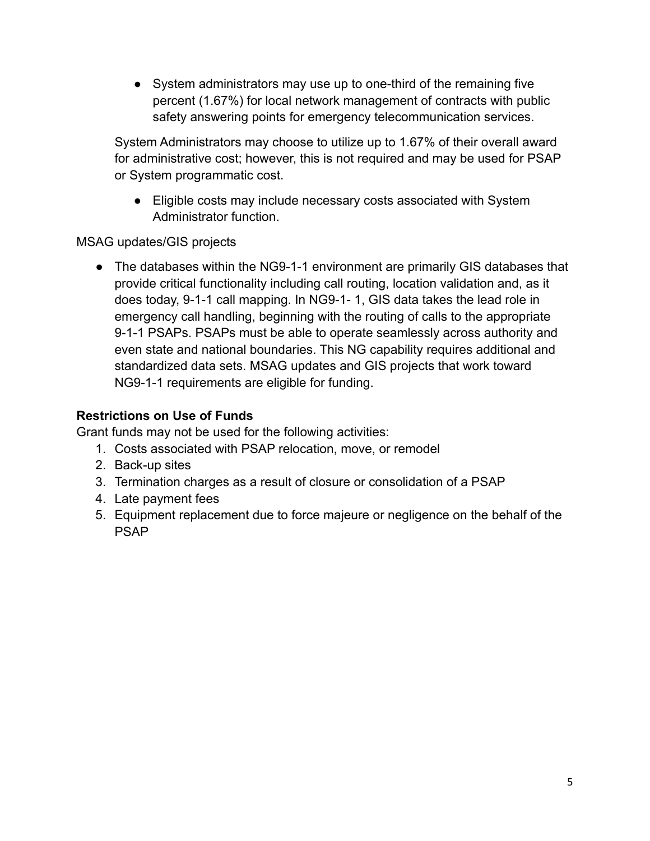● System administrators may use up to one-third of the remaining five percent (1.67%) for local network management of contracts with public safety answering points for emergency telecommunication services.

System Administrators may choose to utilize up to 1.67% of their overall award for administrative cost; however, this is not required and may be used for PSAP or System programmatic cost.

● Eligible costs may include necessary costs associated with System Administrator function.

MSAG updates/GIS projects

● The databases within the NG9-1-1 environment are primarily GIS databases that provide critical functionality including call routing, location validation and, as it does today, 9-1-1 call mapping. In NG9-1- 1, GIS data takes the lead role in emergency call handling, beginning with the routing of calls to the appropriate 9-1-1 PSAPs. PSAPs must be able to operate seamlessly across authority and even state and national boundaries. This NG capability requires additional and standardized data sets. MSAG updates and GIS projects that work toward NG9-1-1 requirements are eligible for funding.

## **Restrictions on Use of Funds**

Grant funds may not be used for the following activities:

- 1. Costs associated with PSAP relocation, move, or remodel
- 2. Back-up sites
- 3. Termination charges as a result of closure or consolidation of a PSAP
- 4. Late payment fees
- 5. Equipment replacement due to force majeure or negligence on the behalf of the PSAP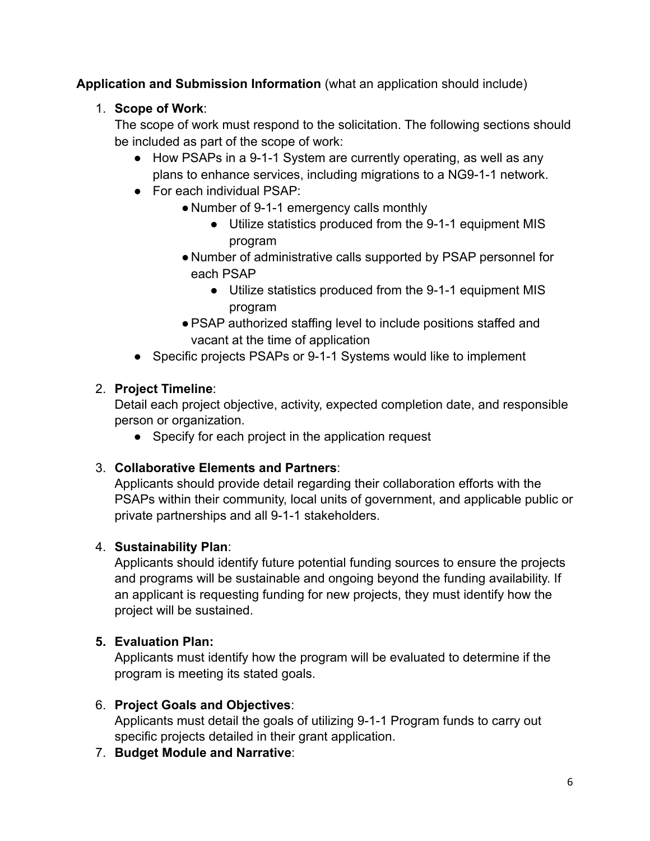**Application and Submission Information** (what an application should include)

# 1. **Scope of Work**:

The scope of work must respond to the solicitation. The following sections should be included as part of the scope of work:

- How PSAPs in a 9-1-1 System are currently operating, as well as any plans to enhance services, including migrations to a NG9-1-1 network.
- For each individual PSAP:
	- Number of 9-1-1 emergency calls monthly
		- Utilize statistics produced from the 9-1-1 equipment MIS program
	- Number of administrative calls supported by PSAP personnel for each PSAP
		- Utilize statistics produced from the 9-1-1 equipment MIS program
	- ●PSAP authorized staffing level to include positions staffed and vacant at the time of application
- Specific projects PSAPs or 9-1-1 Systems would like to implement

# 2. **Project Timeline**:

Detail each project objective, activity, expected completion date, and responsible person or organization.

• Specify for each project in the application request

## 3. **Collaborative Elements and Partners**:

Applicants should provide detail regarding their collaboration efforts with the PSAPs within their community, local units of government, and applicable public or private partnerships and all 9-1-1 stakeholders.

## 4. **Sustainability Plan**:

Applicants should identify future potential funding sources to ensure the projects and programs will be sustainable and ongoing beyond the funding availability. If an applicant is requesting funding for new projects, they must identify how the project will be sustained.

# **5. Evaluation Plan:**

Applicants must identify how the program will be evaluated to determine if the program is meeting its stated goals.

## 6. **Project Goals and Objectives**:

Applicants must detail the goals of utilizing 9-1-1 Program funds to carry out specific projects detailed in their grant application.

7. **Budget Module and Narrative**: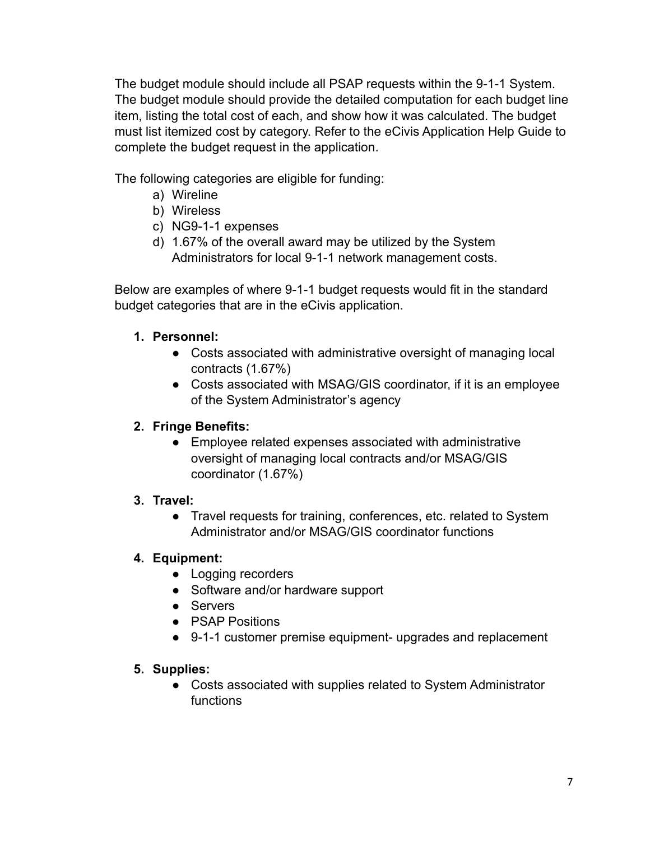The budget module should include all PSAP requests within the 9-1-1 System. The budget module should provide the detailed computation for each budget line item, listing the total cost of each, and show how it was calculated. The budget must list itemized cost by category. Refer to the eCivis Application Help Guide to complete the budget request in the application.

The following categories are eligible for funding:

- a) Wireline
- b) Wireless
- c) NG9-1-1 expenses
- d) 1.67% of the overall award may be utilized by the System Administrators for local 9-1-1 network management costs.

Below are examples of where 9-1-1 budget requests would fit in the standard budget categories that are in the eCivis application.

## **1. Personnel:**

- Costs associated with administrative oversight of managing local contracts (1.67%)
- Costs associated with MSAG/GIS coordinator, if it is an employee of the System Administrator's agency

## **2. Fringe Benefits:**

● Employee related expenses associated with administrative oversight of managing local contracts and/or MSAG/GIS coordinator (1.67%)

#### **3. Travel:**

**●** Travel requests for training, conferences, etc. related to System Administrator and/or MSAG/GIS coordinator functions

## **4. Equipment:**

- Logging recorders
- Software and/or hardware support
- Servers
- PSAP Positions
- 9-1-1 customer premise equipment- upgrades and replacement

#### **5. Supplies:**

**●** Costs associated with supplies related to System Administrator functions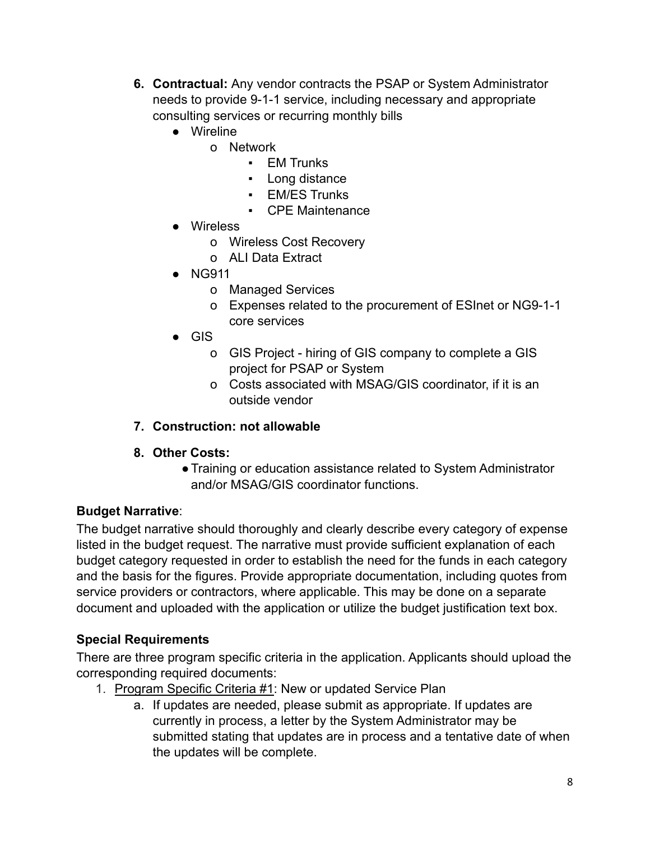- **6. Contractual:** Any vendor contracts the PSAP or System Administrator needs to provide 9-1-1 service, including necessary and appropriate consulting services or recurring monthly bills
	- Wireline
		- o Network
			- EM Trunks
			- Long distance
			- EM/ES Trunks
			- CPE Maintenance
	- Wireless
		- o Wireless Cost Recovery
		- o ALI Data Extract
	- NG911
		- o Managed Services
		- o Expenses related to the procurement of ESInet or NG9-1-1 core services
	- $\bullet$  GIS
		- o GIS Project hiring of GIS company to complete a GIS project for PSAP or System
		- o Costs associated with MSAG/GIS coordinator, if it is an outside vendor
- **7. Construction: not allowable**
- **8. Other Costs:**
	- **●**Training or education assistance related to System Administrator and/or MSAG/GIS coordinator functions.

#### **Budget Narrative**:

The budget narrative should thoroughly and clearly describe every category of expense listed in the budget request. The narrative must provide sufficient explanation of each budget category requested in order to establish the need for the funds in each category and the basis for the figures. Provide appropriate documentation, including quotes from service providers or contractors, where applicable. This may be done on a separate document and uploaded with the application or utilize the budget justification text box.

#### **Special Requirements**

There are three program specific criteria in the application. Applicants should upload the corresponding required documents:

- 1. Program Specific Criteria #1: New or updated Service Plan
	- a. If updates are needed, please submit as appropriate. If updates are currently in process, a letter by the System Administrator may be submitted stating that updates are in process and a tentative date of when the updates will be complete.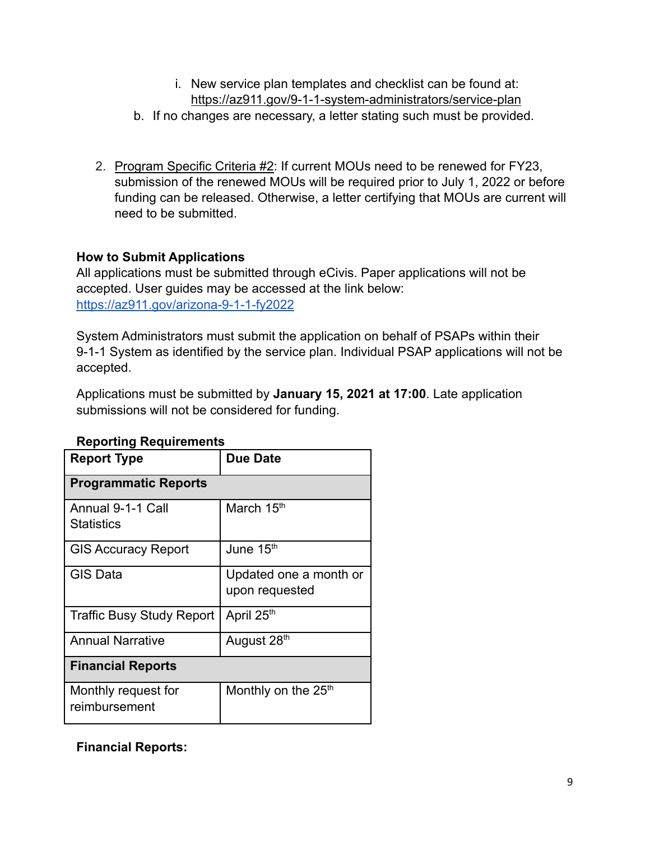- i. New service plan templates and checklist can be found at: <https://az911.gov/9-1-1-system-administrators/service-plan>
- b. If no changes are necessary, a letter stating such must be provided.
- 2. Program Specific Criteria #2: If current MOUs need to be renewed for FY23, submission of the renewed MOUs will be required prior to July 1, 2022 or before funding can be released. Otherwise, a letter certifying that MOUs are current will need to be submitted.

## **How to Submit Applications**

All applications must be submitted through eCivis. Paper applications will not be accepted. User guides may be accessed at the link below: <https://az911.gov/arizona-9-1-1-fy2022>

System Administrators must submit the application on behalf of PSAPs within their 9-1-1 System as identified by the service plan. Individual PSAP applications will not be accepted.

Applications must be submitted by **January 15, 2021 at 17:00**. Late application submissions will not be considered for funding.

| <b>Due Date</b>             |  |
|-----------------------------|--|
|                             |  |
| <b>Programmatic Reports</b> |  |
| March 15 <sup>th</sup>      |  |
|                             |  |
| June 15 <sup>th</sup>       |  |
| Updated one a month or      |  |
| upon requested              |  |
| April 25th                  |  |
| August 28th                 |  |
| <b>Financial Reports</b>    |  |
| Monthly on the $25th$       |  |
|                             |  |
|                             |  |

#### **Reporting Requirements**

**Financial Reports:**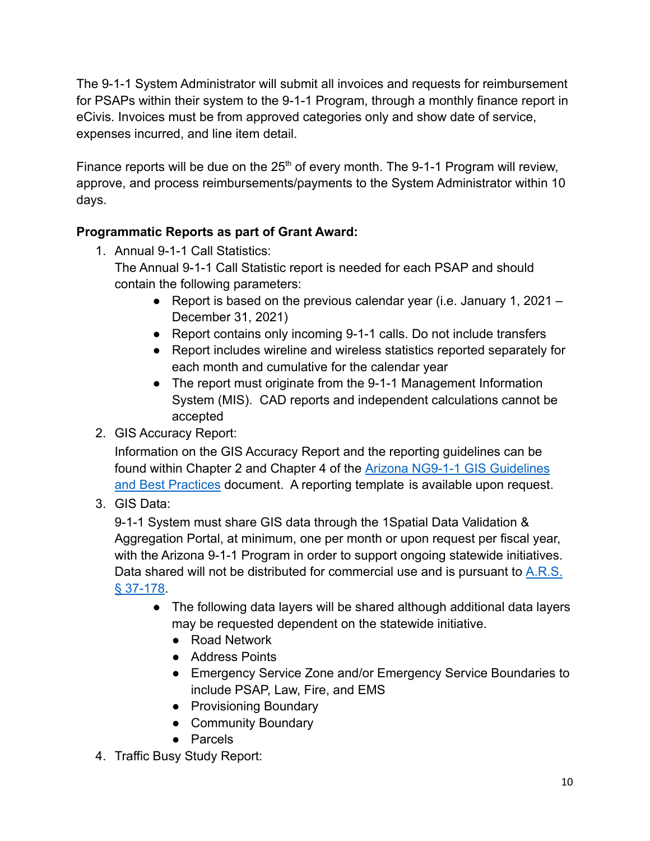The 9-1-1 System Administrator will submit all invoices and requests for reimbursement for PSAPs within their system to the 9-1-1 Program, through a monthly finance report in eCivis. Invoices must be from approved categories only and show date of service, expenses incurred, and line item detail.

Finance reports will be due on the  $25<sup>th</sup>$  of every month. The 9-1-1 Program will review, approve, and process reimbursements/payments to the System Administrator within 10 days.

# **Programmatic Reports as part of Grant Award:**

- 1. Annual 9-1-1 Call Statistics: The Annual 9-1-1 Call Statistic report is needed for each PSAP and should contain the following parameters:
	- Report is based on the previous calendar year (i.e. January 1, 2021 December 31, 2021)
	- Report contains only incoming 9-1-1 calls. Do not include transfers
	- Report includes wireline and wireless statistics reported separately for each month and cumulative for the calendar year
	- The report must originate from the 9-1-1 Management Information System (MIS). CAD reports and independent calculations cannot be accepted
- 2. GIS Accuracy Report:

Information on the GIS Accuracy Report and the reporting guidelines can be found within Chapter 2 and Chapter 4 of the Arizona [NG9-1-1 GIS Guidelines](https://grants.az.gov/sites/default/files/media/AZ_NG911_GIS_Guideline_Best%20Practices_v2.0_111717.pdf) [and Best Practices](https://grants.az.gov/sites/default/files/media/AZ_NG911_GIS_Guideline_Best%20Practices_v2.0_111717.pdf) document. A reporting template is available upon request.

# 3. GIS Data:

9-1-1 System must share GIS data through the 1Spatial Data Validation & Aggregation Portal, at minimum, one per month or upon request per fiscal year, with the Arizona 9-1-1 Program in order to support ongoing statewide initiatives. Data shared will not be distributed for commercial use and is pursuant to [A.R.S.](https://www.azleg.gov/viewdocument/?docName=https://www.azleg.gov/ars/37/00178.htm) § [37-178](https://www.azleg.gov/viewdocument/?docName=https://www.azleg.gov/ars/37/00178.htm).

- The following data layers will be shared although additional data layers may be requested dependent on the statewide initiative.
	- Road Network
	- Address Points
	- Emergency Service Zone and/or Emergency Service Boundaries to include PSAP, Law, Fire, and EMS
	- Provisioning Boundary
	- Community Boundary
	- Parcels
- 4. Traffic Busy Study Report: